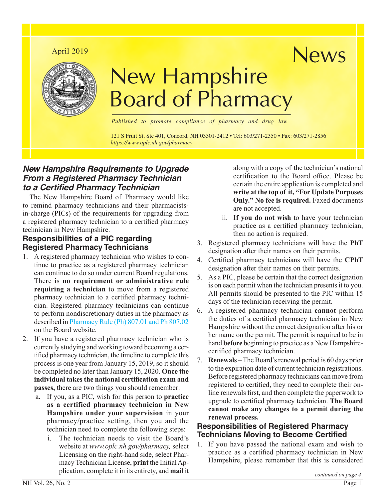#### April 2019



# New Hampshire Board of Pharmacy

*Published to promote compliance of pharmacy and drug law*

121 S Fruit St, Ste 401, Concord, NH 03301-2412 • Tel: 603/271-2350 • Fax: 603/271-2856 *[https://www.oplc.nh.gov/pharmacy](https://www.oplc.nh.gov/pharmacy/)*

# *New Hampshire Requirements to Upgrade From a Registered Pharmacy Technician to a Certified Pharmacy Technician*

The New Hampshire Board of Pharmacy would like to remind pharmacy technicians and their pharmacistsin-charge (PICs) of the requirements for upgrading from a registered pharmacy technician to a certified pharmacy technician in New Hampshire.

# **Responsibilities of a PIC regarding Registered Pharmacy Technicians**

- 1. A registered pharmacy technician who wishes to continue to practice as a registered pharmacy technician can continue to do so under current Board regulations. There is **no requirement or administrative rule requiring a technician** to move from a registered pharmacy technician to a certified pharmacy technician. Registered pharmacy technicians can continue to perform nondiscretionary duties in the pharmacy as described in [Pharmacy Rule \(Ph\) 807.01 and Ph 807.02](http://www.gencourt.state.nh.us/rules/state_agencies/ph100-2000.html) on the Board website.
- 2. If you have a registered pharmacy technician who is currently studying and working toward becoming a certified pharmacy technician, the timeline to complete this process is one year from January 15, 2019, so it should be completed no later than January 15, 2020. **Once the individual takes the national certification exam and passes,** there are two things you should remember:
	- a. If you, as a PIC, wish for this person to **practice as a certified pharmacy technician in New Hampshire under your supervision** in your pharmacy/practice setting, then you and the technician need to complete the following steps:
		- i. The technician needs to visit the Board's website at *[www.oplc.nh.gov/pharmacy,](https://www.oplc.nh.gov/pharmacy/)* select Licensing on the right-hand side, select Pharmacy Technician License, **print** the Initial Application, complete it in its entirety, and **mail** it

along with a copy of the technician's national certification to the Board office. Please be certain the entire application is completed and **write at the top of it, "For Update Purposes Only."** No fee is required. Faxed documents are not accepted.

News

- ii. **If you do not wish** to have your technician practice as a certified pharmacy technician, then no action is required.
- 3. Registered pharmacy technicians will have the **PhT** designation after their names on their permits.
- 4. Certified pharmacy technicians will have the **CPhT** designation after their names on their permits.
- 5. As a PIC, please be certain that the correct designation is on each permit when the technician presents it to you. All permits should be presented to the PIC within 15 days of the technician receiving the permit.
- 6. A registered pharmacy technician **cannot** perform the duties of a certified pharmacy technician in New Hampshire without the correct designation after his or her name on the permit. The permit is required to be in hand **before** beginning to practice as a New Hampshirecertified pharmacy technician.
- 7. **Renewals** The Board's renewal period is 60 days prior to the expiration date of current technician registrations. Before registered pharmacy technicians can move from registered to certified, they need to complete their online renewals first, and then complete the paperwork to upgrade to certified pharmacy technician. **The Board cannot make any changes to a permit during the renewal process.**

#### **Responsibilities of Registered Pharmacy Technicians Moving to Become Certified**

1. If you have passed the national exam and wish to practice as a certified pharmacy technician in New Hampshire, please remember that this is considered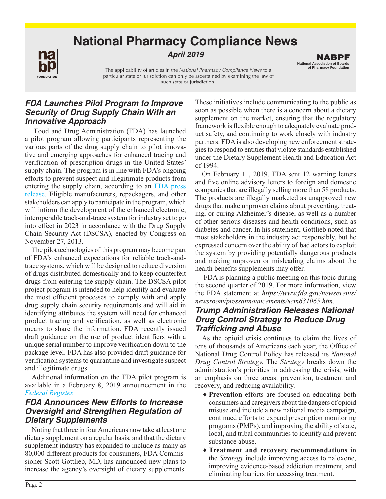# **National Pharmacy Compliance News**

*April 2019*

FOUNDATION

The applicability of articles in the *National Pharmacy Compliance News* to a particular state or jurisdiction can only be ascertained by examining the law of such state or jurisdiction.

National Association of Boards of Pharmacy Foundation NABPF

### *FDA Launches Pilot Program to Improve Security of Drug Supply Chain With an Innovative Approach*

 Food and Drug Administration (FDA) has launched a pilot program allowing participants representing the various parts of the drug supply chain to pilot innovative and emerging approaches for enhanced tracing and verification of prescription drugs in the United States' supply chain. The program is in line with FDA's ongoing efforts to prevent suspect and illegitimate products from entering the supply chain, according to an [FDA press](https://www.fda.gov/NewsEvents/Newsroom/PressAnnouncements/ucm630942.htm)  [release.](https://www.fda.gov/NewsEvents/Newsroom/PressAnnouncements/ucm630942.htm) Eligible manufacturers, repackagers, and other stakeholders can apply to participate in the program, which will inform the development of the enhanced electronic, interoperable track-and-trace system for industry set to go into effect in 2023 in accordance with the Drug Supply Chain Security Act (DSCSA), enacted by Congress on November 27, 2013.

The pilot technologies of this program may become part of FDA's enhanced expectations for reliable track-andtrace systems, which will be designed to reduce diversion of drugs distributed domestically and to keep counterfeit drugs from entering the supply chain. The DSCSA pilot project program is intended to help identify and evaluate the most efficient processes to comply with and apply drug supply chain security requirements and will aid in identifying attributes the system will need for enhanced product tracing and verification, as well as electronic means to share the information. FDA recently issued draft guidance on the use of product identifiers with a unique serial number to improve verification down to the package level. FDA has also provided draft guidance for verification systems to quarantine and investigate suspect and illegitimate drugs.

Additional information on the FDA pilot program is available in a February 8, 2019 announcement in the *[Federal Register.](https://www.federalregister.gov/documents/2019/02/08/2019-01561/pilot-project-program-under-the-drug-supply-chain-security-act-program-announcement)*

# *FDA Announces New Efforts to Increase Oversight and Strengthen Regulation of Dietary Supplements*

Noting that three in four Americans now take at least one dietary supplement on a regular basis, and that the dietary supplement industry has expanded to include as many as 80,000 different products for consumers, FDA Commissioner Scott Gottlieb, MD, has announced new plans to increase the agency's oversight of dietary supplements.

These initiatives include communicating to the public as soon as possible when there is a concern about a dietary supplement on the market, ensuring that the regulatory framework is flexible enough to adequately evaluate product safety, and continuing to work closely with industry partners. FDA is also developing new enforcement strategies to respond to entities that violate standards established under the Dietary Supplement Health and Education Act of 1994.

On February 11, 2019, FDA sent 12 warning letters and five online advisory letters to foreign and domestic companies that are illegally selling more than 58 products. The products are illegally marketed as unapproved new drugs that make unproven claims about preventing, treating, or curing Alzheimer's disease, as well as a number of other serious diseases and health conditions, such as diabetes and cancer. In his statement, Gottlieb noted that most stakeholders in the industry act responsibly, but he expressed concern over the ability of bad actors to exploit the system by providing potentially dangerous products and making unproven or misleading claims about the health benefits supplements may offer.

 FDA is planning a public meeting on this topic during the second quarter of 2019. For more information, view the FDA statement at *[https://www.fda.gov/newsevents/](https://www.fda.gov/newsevents/newsroom/pressannouncements/ucm631065.htm) [newsroom/pressannouncements/ucm631065.htm.](https://www.fda.gov/newsevents/newsroom/pressannouncements/ucm631065.htm)* 

### *Trump Administration Releases National Drug Control Strategy to Reduce Drug Trafficking and Abuse*

As the opioid crisis continues to claim the lives of tens of thousands of Americans each year, the Office of National Drug Control Policy has released its *National Drug Control Strategy.* The *Strategy* breaks down the administration's priorities in addressing the crisis, with an emphasis on three areas: prevention, treatment and recovery, and reducing availability.

- ♦ **Prevention** efforts are focused on educating both consumers and caregivers about the dangers of opioid misuse and include a new national media campaign, continued efforts to expand prescription monitoring programs (PMPs), and improving the ability of state, local, and tribal communities to identify and prevent substance abuse.
- ♦ **Treatment and recovery recommendations** in the *Strategy* include improving access to naloxone, improving evidence-based addiction treatment, and eliminating barriers for accessing treatment.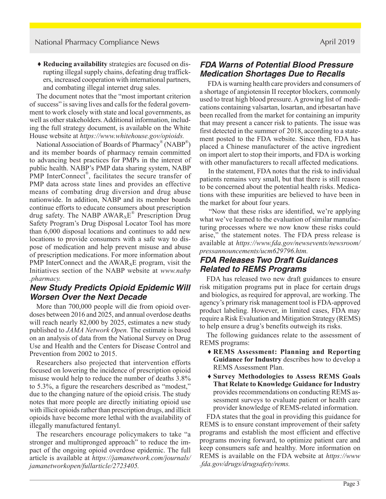♦ **Reducing availability** strategies are focused on disrupting illegal supply chains, defeating drug traffickers, increased cooperation with international partners, and combating illegal internet drug sales.

The document notes that the "most important criterion of success" is saving lives and calls for the federal government to work closely with state and local governments, as well as other stakeholders. Additional information, including the full strategy document, is available on the White House website at *[https://www.whitehouse.gov/opioids.](https://www.whitehouse.gov/opioids/)*

National Association of Boards of Pharmacy<sup>®</sup> (NABP<sup>®</sup>) and its member boards of pharmacy remain committed to advancing best practices for PMPs in the interest of public health. NABP's PMP data sharing system, NABP PMP InterConnect<sup>®</sup>, facilitates the secure transfer of PMP data across state lines and provides an effective means of combating drug diversion and drug abuse nationwide. In addition, NABP and its member boards continue efforts to educate consumers about prescription drug safety. The NABP  $AWAR_XE^*$  Prescription Drug Safety Program's Drug Disposal Locator Tool has more than 6,000 disposal locations and continues to add new locations to provide consumers with a safe way to dispose of medication and help prevent misuse and abuse of prescription medications. For more information about PMP InterConnect and the  $AWAR_xE$  program, visit the Initiatives section of the NABP website at *[www.nabp](https://nabp.pharmacy/) [.pharmacy.](https://nabp.pharmacy/)*

# *New Study Predicts Opioid Epidemic Will Worsen Over the Next Decade*

More than 700,000 people will die from opioid overdoses between 2016 and 2025, and annual overdose deaths will reach nearly 82,000 by 2025, estimates a new study published to *JAMA Network Open.* The estimate is based on an analysis of data from the National Survey on Drug Use and Health and the Centers for Disease Control and Prevention from 2002 to 2015.

Researchers also projected that intervention efforts focused on lowering the incidence of prescription opioid misuse would help to reduce the number of deaths 3.8% to 5.3%, a figure the researchers described as "modest," due to the changing nature of the opioid crisis. The study notes that more people are directly initiating opioid use with illicit opioids rather than prescription drugs, and illicit opioids have become more lethal with the availability of illegally manufactured fentanyl.

The researchers encourage policymakers to take "a stronger and multipronged approach" to reduce the impact of the ongoing opioid overdose epidemic. The full article is available at *[https://jamanetwork.com/journals/](https://jamanetwork.com/journals/jamanetworkopen/fullarticle/2723405) [jamanetworkopen/fullarticle/2723405.](https://jamanetwork.com/journals/jamanetworkopen/fullarticle/2723405)*

#### *FDA Warns of Potential Blood Pressure Medication Shortages Due to Recalls*

 FDA is warning health care providers and consumers of a shortage of angiotensin II receptor blockers, commonly used to treat high blood pressure. A growing list of medications containing valsartan, losartan, and irbesartan have been recalled from the market for containing an impurity that may present a cancer risk to patients. The issue was first detected in the summer of 2018, according to a statement posted to the FDA website. Since then, FDA has placed a Chinese manufacturer of the active ingredient on import alert to stop their imports, and FDA is working with other manufacturers to recall affected medications.

 In the statement, FDA notes that the risk to individual patients remains very small, but that there is still reason to be concerned about the potential health risks. Medications with these impurities are believed to have been in the market for about four years.

 "Now that these risks are identified, we're applying what we've learned to the evaluation of similar manufacturing processes where we now know these risks could arise," the statement notes. The FDA press release is available at *[https://www.fda.gov/newsevents/newsroom/](https://www.fda.gov/newsevents/newsroom/pressannouncements/ucm629796.htm) [pressannouncements/ucm629796.htm.](https://www.fda.gov/newsevents/newsroom/pressannouncements/ucm629796.htm)* 

#### *FDA Releases Two Draft Guidances Related to REMS Programs*

FDA has released two new draft guidances to ensure risk mitigation programs put in place for certain drugs and biologics, as required for approval, are working. The agency's primary risk management tool is FDA-approved product labeling. However, in limited cases, FDA may require a Risk Evaluation and Mitigation Strategy (REMS) to help ensure a drug's benefits outweigh its risks.

The following guidances relate to the assessment of REMS programs:

- ♦ **REMS Assessment: Planning and Reporting Guidance for Industry** describes how to develop a REMS Assessment Plan.
- ♦ **Survey Methodologies to Assess REMS Goals That Relate to Knowledge Guidance for Industry** provides recommendations on conducting REMS assessment surveys to evaluate patient or health care provider knowledge of REMS-related information.

FDA states that the goal in providing this guidance for REMS is to ensure constant improvement of their safety programs and establish the most efficient and effective programs moving forward, to optimize patient care and keep consumers safe and healthy. More information on REMS is available on the FDA website at *[https://www](https://www.fda.gov/Drugs/DrugSafety/REMS/default.htm) [.fda.gov/drugs/drugsafety/rems.](https://www.fda.gov/Drugs/DrugSafety/REMS/default.htm)*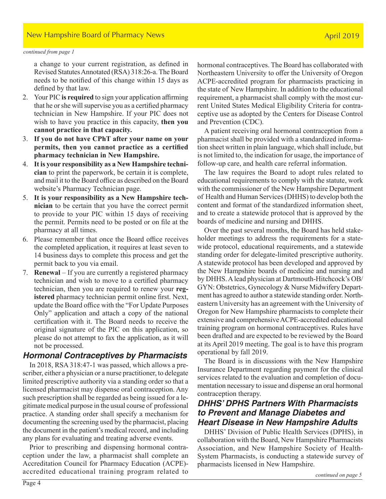#### New Hampshire Board of Pharmacy News April 2019 **April 2019**

#### *continued from page 1*

a change to your current registration, as defined in Revised Statutes Annotated (RSA) 318:26-a. The Board needs to be notified of this change within 15 days as defined by that law.

- 2. Your PIC **is required** to sign your application affirming that he or she will supervise you as a certified pharmacy technician in New Hampshire. If your PIC does not wish to have you practice in this capacity, **then you cannot practice in that capacity.**
- 3. **If you do not have CPhT after your name on your permits, then you cannot practice as a certified pharmacy technician in New Hampshire.**
- 4. **It is your responsibility as a New Hampshire technician** to print the paperwork, be certain it is complete, and mail it to the Board office as described on the Board website's Pharmacy Technician page.
- 5. **It is your responsibility as a New Hampshire technician** to be certain that you have the correct permit to provide to your PIC within 15 days of receiving the permit. Permits need to be posted or on file at the pharmacy at all times.
- 6. Please remember that once the Board office receives the completed application, it requires at least seven to 14 business days to complete this process and get the permit back to you via email.
- 7. **Renewal** If you are currently a registered pharmacy technician and wish to move to a certified pharmacy technician, then you are required to renew your **registered** pharmacy technician permit online first. Next, update the Board office with the "For Update Purposes Only" application and attach a copy of the national certification with it. The Board needs to receive the original signature of the PIC on this application, so please do not attempt to fax the application, as it will not be processed.

#### *Hormonal Contraceptives by Pharmacists*

In 2018, RSA 318:47-1 was passed, which allows a prescriber, either a physician or a nurse practitioner, to delegate limited prescriptive authority via a standing order so that a licensed pharmacist may dispense oral contraception. Any such prescription shall be regarded as being issued for a legitimate medical purpose in the usual course of professional practice. A standing order shall specify a mechanism for documenting the screening used by the pharmacist, placing the document in the patient's medical record, and including any plans for evaluating and treating adverse events.

Prior to prescribing and dispensing hormonal contraception under the law, a pharmacist shall complete an Accreditation Council for Pharmacy Education (ACPE) accredited educational training program related to

hormonal contraceptives. The Board has collaborated with Northeastern University to offer the University of Oregon ACPE-accredited program for pharmacists practicing in the state of New Hampshire. In addition to the educational requirement, a pharmacist shall comply with the most current United States Medical Eligibility Criteria for contraceptive use as adopted by the Centers for Disease Control and Prevention (CDC).

A patient receiving oral hormonal contraception from a pharmacist shall be provided with a standardized information sheet written in plain language, which shall include, but is not limited to, the indication for usage, the importance of follow-up care, and health care referral information.

The law requires the Board to adopt rules related to educational requirements to comply with the statute, work with the commissioner of the New Hampshire Department of Health and Human Services (DHHS) to develop both the content and format of the standardized information sheet, and to create a statewide protocol that is approved by the boards of medicine and nursing and DHHS.

Over the past several months, the Board has held stakeholder meetings to address the requirements for a statewide protocol, educational requirements, and a statewide standing order for delegate-limited prescriptive authority. A statewide protocol has been developed and approved by the New Hampshire boards of medicine and nursing and by DHHS. A lead physician at Dartmouth-Hitchcock's OB/ GYN: Obstetrics, Gynecology & Nurse Midwifery Department has agreed to author a statewide standing order. Northeastern University has an agreement with the University of Oregon for New Hampshire pharmacists to complete their extensive and comprehensive ACPE-accredited educational training program on hormonal contraceptives. Rules have been drafted and are expected to be reviewed by the Board at its April 2019 meeting. The goal is to have this program operational by fall 2019.

The Board is in discussions with the New Hampshire Insurance Department regarding payment for the clinical services related to the evaluation and completion of documentation necessary to issue and dispense an oral hormonal contraception therapy.

# *DHHS' DPHS Partners With Pharmacists to Prevent and Manage Diabetes and Heart Disease in New Hampshire Adults*

DHHS' Division of Public Health Services (DPHS), in collaboration with the Board, New Hampshire Pharmacists Association, and New Hampshire Society of Health-System Pharmacists, is conducting a statewide survey of pharmacists licensed in New Hampshire.